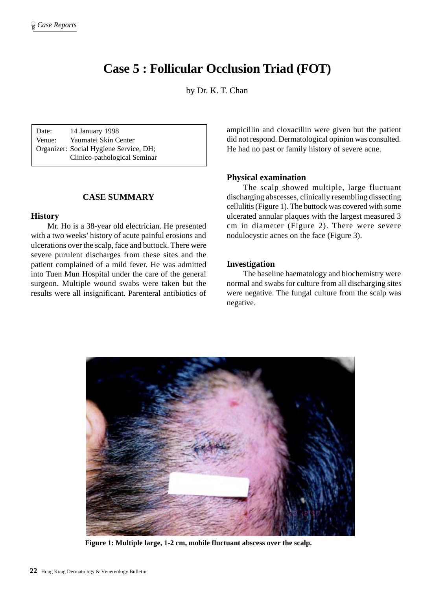# **Case 5 : Follicular Occlusion Triad (FOT)**

by Dr. K. T. Chan

Date: 14 January 1998 Venue: Yaumatei Skin Center Organizer: Social Hygiene Service, DH; Clinico-pathological Seminar

## **CASE SUMMARY**

#### **History**

Mr. Ho is a 38-year old electrician. He presented with a two weeks' history of acute painful erosions and ulcerations over the scalp, face and buttock. There were severe purulent discharges from these sites and the patient complained of a mild fever. He was admitted into Tuen Mun Hospital under the care of the general surgeon. Multiple wound swabs were taken but the results were all insignificant. Parenteral antibiotics of ampicillin and cloxacillin were given but the patient did not respond. Dermatological opinion was consulted. He had no past or family history of severe acne.

#### **Physical examination**

The scalp showed multiple, large fluctuant discharging abscesses, clinically resembling dissecting cellulitis (Figure 1). The buttock was covered with some ulcerated annular plaques with the largest measured 3 cm in diameter (Figure 2). There were severe nodulocystic acnes on the face (Figure 3).

## **Investigation**

The baseline haematology and biochemistry were normal and swabs for culture from all discharging sites were negative. The fungal culture from the scalp was negative.



**Figure 1: Multiple large, 1-2 cm, mobile fluctuant abscess over the scalp.**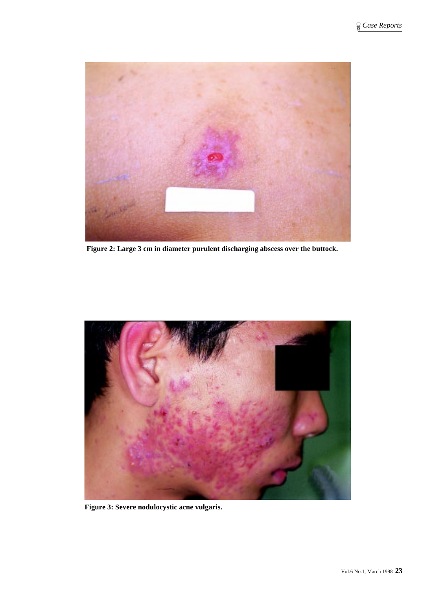

**Figure 2: Large 3 cm in diameter purulent discharging abscess over the buttock.**



**Figure 3: Severe nodulocystic acne vulgaris.**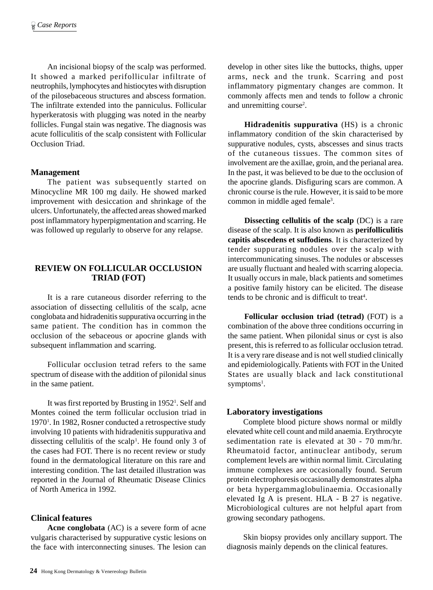An incisional biopsy of the scalp was performed. It showed a marked perifollicular infiltrate of neutrophils, lymphocytes and histiocytes with disruption of the pilosebaceous structures and abscess formation. The infiltrate extended into the panniculus. Follicular hyperkeratosis with plugging was noted in the nearby follicles. Fungal stain was negative. The diagnosis was acute folliculitis of the scalp consistent with Follicular Occlusion Triad.

# **Management**

The patient was subsequently started on Minocycline MR 100 mg daily. He showed marked improvement with desiccation and shrinkage of the ulcers. Unfortunately, the affected areas showed marked post inflammatory hyperpigmentation and scarring. He was followed up regularly to observe for any relapse.

# **REVIEW ON FOLLICULAR OCCLUSION TRIAD (FOT)**

It is a rare cutaneous disorder referring to the association of dissecting cellulitis of the scalp, acne conglobata and hidradenitis suppurativa occurring in the same patient. The condition has in common the occlusion of the sebaceous or apocrine glands with subsequent inflammation and scarring.

Follicular occlusion tetrad refers to the same spectrum of disease with the addition of pilonidal sinus in the same patient.

It was first reported by Brusting in 1952<sup>1</sup>. Self and Montes coined the term follicular occlusion triad in 1970<sup>1</sup>. In 1982, Rosner conducted a retrospective study involving 10 patients with hidradenitis suppurativa and dissecting cellulitis of the scalp<sup>1</sup>. He found only 3 of the cases had FOT. There is no recent review or study found in the dermatological literature on this rare and interesting condition. The last detailed illustration was reported in the Journal of Rheumatic Disease Clinics of North America in 1992.

# **Clinical features**

**Acne conglobata** (AC) is a severe form of acne vulgaris characterised by suppurative cystic lesions on the face with interconnecting sinuses. The lesion can

develop in other sites like the buttocks, thighs, upper arms, neck and the trunk. Scarring and post inflammatory pigmentary changes are common. It commonly affects men and tends to follow a chronic and unremitting course<sup>2</sup>.

**Hidradenitis suppurativa** (HS) is a chronic inflammatory condition of the skin characterised by suppurative nodules, cysts, abscesses and sinus tracts of the cutaneous tissues. The common sites of involvement are the axillae, groin, and the perianal area. In the past, it was believed to be due to the occlusion of the apocrine glands. Disfiguring scars are common. A chronic course is the rule. However, it is said to be more common in middle aged female<sup>3</sup>.

**Dissecting cellulitis of the scalp** (DC) is a rare disease of the scalp. It is also known as **perifolliculitis capitis abscedens et suffodiens**. It is characterized by tender suppurating nodules over the scalp with intercommunicating sinuses. The nodules or abscesses are usually fluctuant and healed with scarring alopecia. It usually occurs in male, black patients and sometimes a positive family history can be elicited. The disease tends to be chronic and is difficult to treat<sup>4</sup>.

**Follicular occlusion triad (tetrad)** (FOT) is a combination of the above three conditions occurring in the same patient. When pilonidal sinus or cyst is also present, this is referred to as follicular occlusion tetrad. It is a very rare disease and is not well studied clinically and epidemiologically. Patients with FOT in the United States are usually black and lack constitutional symptoms<sup>1</sup>.

# **Laboratory investigations**

Complete blood picture shows normal or mildly elevated white cell count and mild anaemia. Erythrocyte sedimentation rate is elevated at 30 - 70 mm/hr. Rheumatoid factor, antinuclear antibody, serum complement levels are within normal limit. Circulating immune complexes are occasionally found. Serum protein electrophoresis occasionally demonstrates alpha or beta hypergammaglobulinaemia. Occasionally elevated Ig A is present. HLA - B 27 is negative. Microbiological cultures are not helpful apart from growing secondary pathogens.

Skin biopsy provides only ancillary support. The diagnosis mainly depends on the clinical features.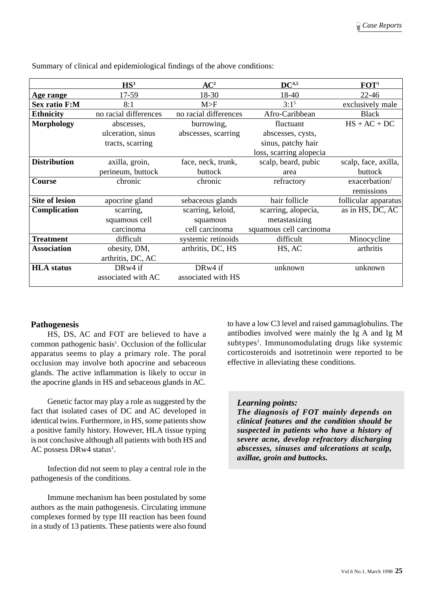|                       | HS <sup>3</sup>       | AC <sup>2</sup>       | DC <sup>4,5</sup>       | FOT <sup>1</sup>     |
|-----------------------|-----------------------|-----------------------|-------------------------|----------------------|
| Age range             | 17-59                 | 18-30                 | 18-40                   | $22 - 46$            |
| <b>Sex ratio F:M</b>  | 8:1                   | M>F                   | $3:1^{5}$               | exclusively male     |
| <b>Ethnicity</b>      | no racial differences | no racial differences | Afro-Caribbean          | <b>Black</b>         |
| <b>Morphology</b>     | abscesses,            | burrowing,            | fluctuant               | $HS + AC + DC$       |
|                       | ulceration, sinus     | abscesses, scarring   | abscesses, cysts,       |                      |
|                       | tracts, scarring      |                       | sinus, patchy hair      |                      |
|                       |                       |                       | loss, scarring alopecia |                      |
| <b>Distribution</b>   | axilla, groin,        | face, neck, trunk,    | scalp, beard, pubic     | scalp, face, axilla, |
|                       | perineum, buttock     | buttock               | area                    | buttock              |
| Course                | chronic               | chronic               | refractory              | exacerbation/        |
|                       |                       |                       |                         | remissions           |
| <b>Site of lesion</b> | apocrine gland        | sebaceous glands      | hair follicle           | follicular apparatus |
| Complication          | scarring,             | scarring, keloid,     | scarring, alopecia,     | as in HS, DC, AC     |
|                       | squamous cell         | squamous              | metastasizing           |                      |
|                       | carcinoma             | cell carcinoma        | squamous cell carcinoma |                      |
| <b>Treatment</b>      | difficult             | systemic retinoids    | difficult               | Minocycline          |
| <b>Association</b>    | obesity, DM,          | arthritis, DC, HS     | HS, AC                  | arthritis            |
|                       | arthritis, DC, AC     |                       |                         |                      |
| <b>HLA</b> status     | DRw4 if               | DRw4 if               | unknown                 | unknown              |
|                       | associated with AC    | associated with HS    |                         |                      |

Summary of clinical and epidemiological findings of the above conditions:

# **Pathogenesis**

HS, DS, AC and FOT are believed to have a common pathogenic basis<sup>1</sup>. Occlusion of the follicular apparatus seems to play a primary role. The poral occlusion may involve both apocrine and sebaceous glands. The active inflammation is likely to occur in the apocrine glands in HS and sebaceous glands in AC.

Genetic factor may play a role as suggested by the fact that isolated cases of DC and AC developed in identical twins. Furthermore, in HS, some patients show a positive family history. However, HLA tissue typing is not conclusive although all patients with both HS and AC possess DRw4 status<sup>1</sup>.

Infection did not seem to play a central role in the pathogenesis of the conditions.

Immune mechanism has been postulated by some authors as the main pathogenesis. Circulating immune complexes formed by type III reaction has been found in a study of 13 patients. These patients were also found to have a low C3 level and raised gammaglobulins. The antibodies involved were mainly the Ig A and Ig M subtypes<sup>1</sup>. Immunomodulating drugs like systemic corticosteroids and isotretinoin were reported to be effective in alleviating these conditions.

### *Learning points:*

*The diagnosis of FOT mainly depends on clinical features and the condition should be suspected in patients who have a history of severe acne, develop refractory discharging abscesses, sinuses and ulcerations at scalp, axillae, groin and buttocks.*